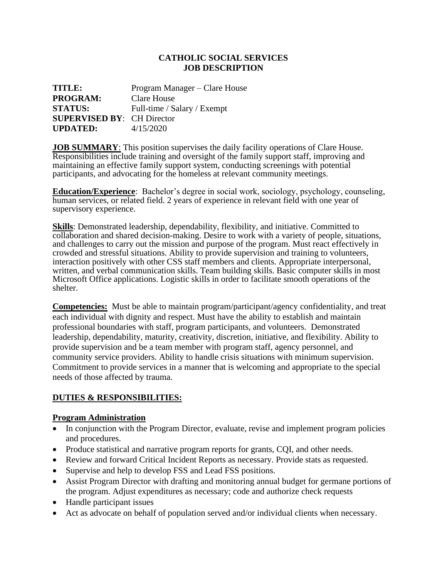### **CATHOLIC SOCIAL SERVICES JOB DESCRIPTION**

| TITLE:                            | Program Manager – Clare House |
|-----------------------------------|-------------------------------|
| <b>PROGRAM:</b>                   | Clare House                   |
| <b>STATUS:</b>                    | Full-time / Salary / Exempt   |
| <b>SUPERVISED BY: CH Director</b> |                               |
| <b>UPDATED:</b>                   | 4/15/2020                     |

**JOB SUMMARY**: This position supervises the daily facility operations of Clare House. Responsibilities include training and oversight of the family support staff, improving and maintaining an effective family support system, conducting screenings with potential participants, and advocating for the homeless at relevant community meetings.

**Education/Experience**: Bachelor's degree in social work, sociology, psychology, counseling, human services, or related field. 2 years of experience in relevant field with one year of supervisory experience.

**Skills**: Demonstrated leadership, dependability, flexibility, and initiative. Committed to collaboration and shared decision-making. Desire to work with a variety of people, situations, and challenges to carry out the mission and purpose of the program. Must react effectively in crowded and stressful situations. Ability to provide supervision and training to volunteers, interaction positively with other CSS staff members and clients. Appropriate interpersonal, written, and verbal communication skills. Team building skills. Basic computer skills in most Microsoft Office applications. Logistic skills in order to facilitate smooth operations of the shelter.

**Competencies:** Must be able to maintain program/participant/agency confidentiality, and treat each individual with dignity and respect. Must have the ability to establish and maintain professional boundaries with staff, program participants, and volunteers. Demonstrated leadership, dependability, maturity, creativity, discretion, initiative, and flexibility. Ability to provide supervision and be a team member with program staff, agency personnel, and community service providers. Ability to handle crisis situations with minimum supervision. Commitment to provide services in a manner that is welcoming and appropriate to the special needs of those affected by trauma.

## **DUTIES & RESPONSIBILITIES:**

#### **Program Administration**

- In conjunction with the Program Director, evaluate, revise and implement program policies and procedures.
- Produce statistical and narrative program reports for grants, CQI, and other needs.
- Review and forward Critical Incident Reports as necessary. Provide stats as requested.
- Supervise and help to develop FSS and Lead FSS positions.
- Assist Program Director with drafting and monitoring annual budget for germane portions of the program. Adjust expenditures as necessary; code and authorize check requests
- Handle participant issues
- Act as advocate on behalf of population served and/or individual clients when necessary.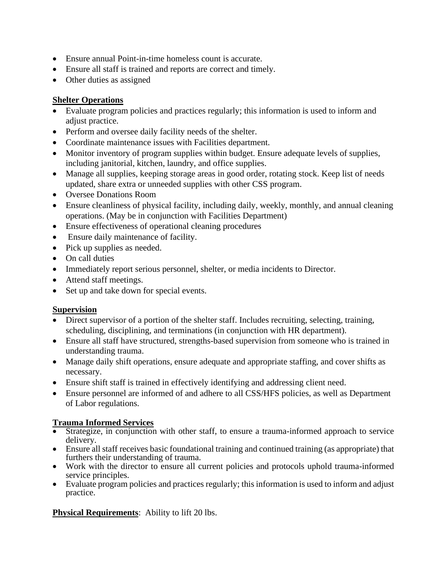- Ensure annual Point-in-time homeless count is accurate.
- Ensure all staff is trained and reports are correct and timely.
- Other duties as assigned

# **Shelter Operations**

- Evaluate program policies and practices regularly; this information is used to inform and adjust practice.
- Perform and oversee daily facility needs of the shelter.
- Coordinate maintenance issues with Facilities department.
- Monitor inventory of program supplies within budget. Ensure adequate levels of supplies, including janitorial, kitchen, laundry, and office supplies.
- Manage all supplies, keeping storage areas in good order, rotating stock. Keep list of needs updated, share extra or unneeded supplies with other CSS program.
- Oversee Donations Room
- Ensure cleanliness of physical facility, including daily, weekly, monthly, and annual cleaning operations. (May be in conjunction with Facilities Department)
- Ensure effectiveness of operational cleaning procedures
- Ensure daily maintenance of facility.
- Pick up supplies as needed.
- On call duties
- Immediately report serious personnel, shelter, or media incidents to Director.
- Attend staff meetings.
- Set up and take down for special events.

## **Supervision**

- Direct supervisor of a portion of the shelter staff. Includes recruiting, selecting, training, scheduling, disciplining, and terminations (in conjunction with HR department).
- Ensure all staff have structured, strengths-based supervision from someone who is trained in understanding trauma.
- Manage daily shift operations, ensure adequate and appropriate staffing, and cover shifts as necessary.
- Ensure shift staff is trained in effectively identifying and addressing client need.
- Ensure personnel are informed of and adhere to all CSS/HFS policies, as well as Department of Labor regulations.

## **Trauma Informed Services**

- Strategize, in conjunction with other staff, to ensure a trauma-informed approach to service delivery.
- Ensure all staff receives basic foundational training and continued training (as appropriate) that furthers their understanding of trauma.
- Work with the director to ensure all current policies and protocols uphold trauma-informed service principles.
- Evaluate program policies and practices regularly; this information is used to inform and adjust practice.

**Physical Requirements:** Ability to lift 20 lbs.